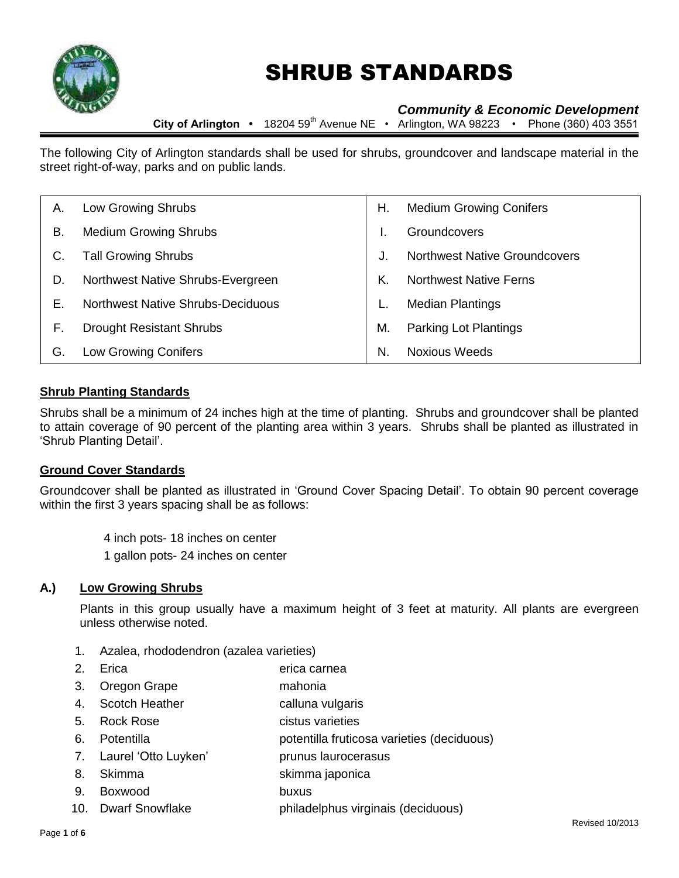

# SHRUB STANDARDS

# *Community & Economic Development*

**City of Arlington •** 18204 59th Avenue NE • Arlington, WA 98223 • Phone (360) 403 3551

The following City of Arlington standards shall be used for shrubs, groundcover and landscape material in the street right-of-way, parks and on public lands.

| А. | Low Growing Shrubs                       | Η. | <b>Medium Growing Conifers</b>       |
|----|------------------------------------------|----|--------------------------------------|
| В. | <b>Medium Growing Shrubs</b>             |    | <b>Groundcovers</b>                  |
| C. | <b>Tall Growing Shrubs</b>               | J. | <b>Northwest Native Groundcovers</b> |
| D. | Northwest Native Shrubs-Evergreen        | Κ. | <b>Northwest Native Ferns</b>        |
| Е. | <b>Northwest Native Shrubs-Deciduous</b> |    | <b>Median Plantings</b>              |
| F. | <b>Drought Resistant Shrubs</b>          | М. | <b>Parking Lot Plantings</b>         |
| G. | <b>Low Growing Conifers</b>              | N. | <b>Noxious Weeds</b>                 |

#### **Shrub Planting Standards**

Shrubs shall be a minimum of 24 inches high at the time of planting. Shrubs and groundcover shall be planted to attain coverage of 90 percent of the planting area within 3 years. Shrubs shall be planted as illustrated in 'Shrub Planting Detail'.

#### **Ground Cover Standards**

Groundcover shall be planted as illustrated in 'Ground Cover Spacing Detail'. To obtain 90 percent coverage within the first 3 years spacing shall be as follows:

> 4 inch pots- 18 inches on center 1 gallon pots- 24 inches on center

#### **A.) Low Growing Shrubs**

Plants in this group usually have a maximum height of 3 feet at maturity. All plants are evergreen unless otherwise noted.

- 1. Azalea, rhododendron (azalea varieties)
- 2. Erica erica carnea
- 3. Oregon Grape mahonia
- 4. Scotch Heather **calluna vulgaris**
- 5. Rock Rose cistus varieties
- 6. Potentilla potentilla fruticosa varieties (deciduous)
- 7. Laurel 'Otto Luyken' prunus laurocerasus
- 8. Skimma skimma japonica
- 9. Boxwood buxus
- 10. Dwarf Snowflake philadelphus virginais (deciduous)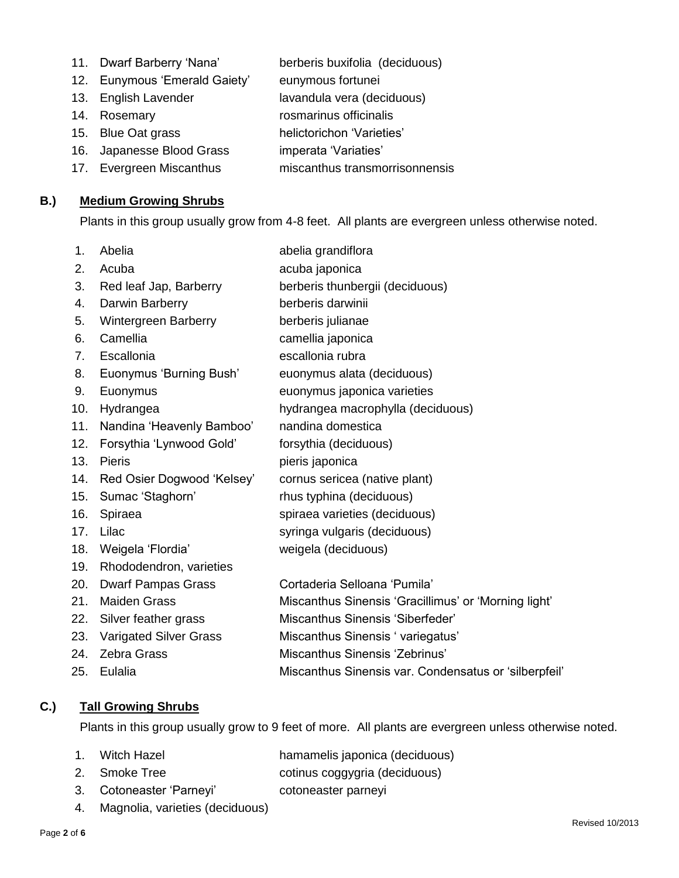- 11. Dwarf Barberry 'Nana' berberis buxifolia (deciduous)
	-
- 12. Eunymous 'Emerald Gaiety' eunymous fortunei
- 13. English Lavender lavandula vera (deciduous)
- 
- 14. Rosemary **rosmarinus officinalis**
- 15. Blue Oat grass helictorichon 'Varieties'
- 16. Japanesse Blood Grass imperata 'Variaties'
- 17. Evergreen Miscanthus miscanthus transmorrisonnensis

## **B.) Medium Growing Shrubs**

Plants in this group usually grow from 4-8 feet. All plants are evergreen unless otherwise noted.

1. Abelia **abelia grandiflora** 2. Acuba **acuba japonica** 3. Red leaf Jap, Barberry berberis thunbergii (deciduous) 4. Darwin Barberry berberis darwinii 5. Wintergreen Barberry berberis julianae 6. Camellia camellia japonica 7. Escallonia escallonia rubra 8. Euonymus 'Burning Bush' euonymus alata (deciduous) 9. Euonymus euonymus japonica varieties 10. Hydrangea hydrangea macrophylla (deciduous) 11. Nandina 'Heavenly Bamboo' nandina domestica 12. Forsythia 'Lynwood Gold' forsythia (deciduous) 13. Pieris **pieris** pieris japonica 14. Red Osier Dogwood 'Kelsey' cornus sericea (native plant) 15. Sumac 'Staghorn' rhus typhina (deciduous) 16. Spiraea spiraea varieties (deciduous) 17. Lilac syringa vulgaris (deciduous) 18. Weigela 'Flordia' weigela (deciduous) 19. Rhododendron, varieties 20. Dwarf Pampas Grass Cortaderia Selloana 'Pumila' 21. Maiden Grass Miscanthus Sinensis 'Gracillimus' or 'Morning light' 22. Silver feather grass Miscanthus Sinensis 'Siberfeder' 23. Varigated Silver Grass Miscanthus Sinensis 'variegatus' 24. Zebra Grass Miscanthus Sinensis 'Zebrinus' 25. Eulalia Miscanthus Sinensis var. Condensatus or 'silberpfeil'

## **C.) Tall Growing Shrubs**

Plants in this group usually grow to 9 feet of more. All plants are evergreen unless otherwise noted.

- 1. Witch Hazel hamamelis japonica (deciduous)
- 2. Smoke Tree cotinus coggygria (deciduous)
- 3. Cotoneaster 'Parneyi' cotoneaster parneyi
- 4. Magnolia, varieties (deciduous)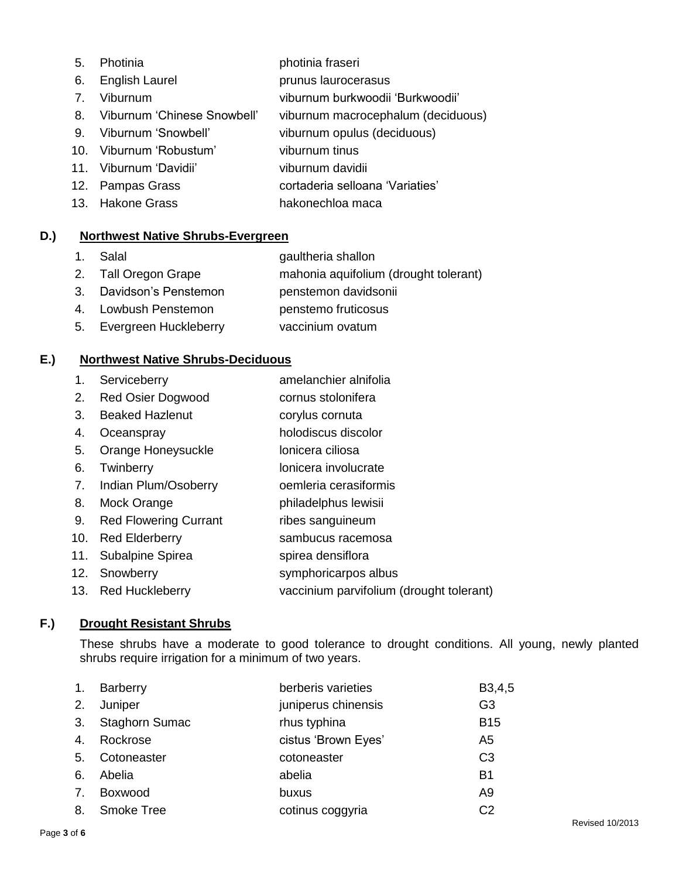- photinia fraseri
- 6. English Laurel **Example 1** prunus laurocerasus
- 7. Viburnum viburnum burkwoodii 'Burkwoodii'
- 8. Viburnum 'Chinese Snowbell' viburnum macrocephalum (deciduous)
- 9. Viburnum 'Snowbell' viburnum opulus (deciduous)
- 10. Viburnum 'Robustum' viburnum tinus
- 
- 11. Viburnum 'Davidii' viburnum davidii
- 12. Pampas Grass cortaderia selloana 'Variaties'
- 13. Hakone Grass hakonechloa maca

# **D.) Northwest Native Shrubs-Evergreen**

- 1. Salal gaultheria shallon
- 2. Tall Oregon Grape mahonia aquifolium (drought tolerant)
- 3. Davidson's Penstemon penstemon davidsonii
- 4. Lowbush Penstemon penstemo fruticosus
- 5. Evergreen Huckleberry vaccinium ovatum

# **E.) Northwest Native Shrubs-Deciduous**

- 1. Serviceberry amelanchier alnifolia
- 2. Red Osier Dogwood cornus stolonifera
- 3. Beaked Hazlenut **corylus cornuta**
- 4. Oceanspray holodiscus discolor
- 5. Orange Honeysuckle lonicera ciliosa
- 6. Twinberry **lonicera** involucrate
- 7. Indian Plum/Osoberry oemleria cerasiformis
- 8. Mock Orange philadelphus lewisii
- 9. Red Flowering Currant ribes sanguineum
- 10. Red Elderberry sambucus racemosa
- 11. Subalpine Spirea spirea densiflora
- 12. Snowberry symphoricarpos albus
- 13. Red Huckleberry vaccinium parvifolium (drought tolerant)

# **F.) Drought Resistant Shrubs**

These shrubs have a moderate to good tolerance to drought conditions. All young, newly planted shrubs require irrigation for a minimum of two years.

| $\mathbf{1}$ . | Barberry              | berberis varieties  | B <sub>3</sub> ,4,5 |
|----------------|-----------------------|---------------------|---------------------|
| 2.             | Juniper               | juniperus chinensis | G3                  |
| 3.             | <b>Staghorn Sumac</b> | rhus typhina        | <b>B15</b>          |
| 4.             | Rockrose              | cistus 'Brown Eyes' | A <sub>5</sub>      |
| 5.             | Cotoneaster           | cotoneaster         | C <sub>3</sub>      |
| 6.             | Abelia                | abelia              | <b>B1</b>           |
| 7.             | Boxwood               | buxus               | A <sub>9</sub>      |
| 8.             | <b>Smoke Tree</b>     | cotinus coggyria    | C <sub>2</sub>      |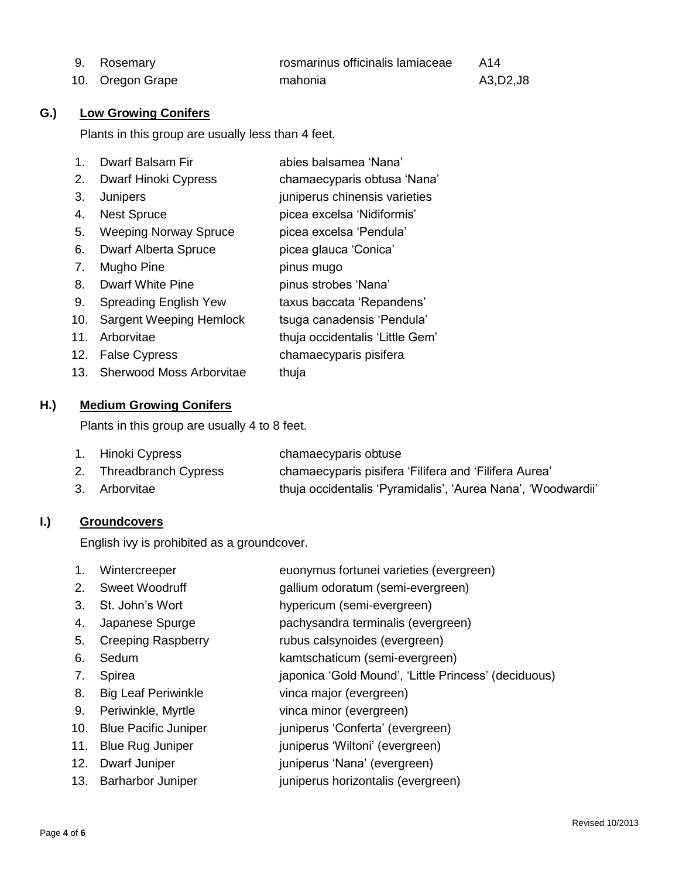| 9. Rosemary      | rosmarinus officinalis lamiaceae | - A14    |
|------------------|----------------------------------|----------|
| 10. Oregon Grape | mahonia                          | A3,D2,J8 |

## **G.) Low Growing Conifers**

Plants in this group are usually less than 4 feet.

| 1.  | Dwarf Balsam Fir               | abies balsamea 'Nana'           |
|-----|--------------------------------|---------------------------------|
| 2.  | Dwarf Hinoki Cypress           | chamaecyparis obtusa 'Nana'     |
| 3.  | Junipers                       | juniperus chinensis varieties   |
| 4.  | <b>Nest Spruce</b>             | picea excelsa 'Nidiformis'      |
| 5.  | <b>Weeping Norway Spruce</b>   | picea excelsa 'Pendula'         |
| 6.  | <b>Dwarf Alberta Spruce</b>    | picea glauca 'Conica'           |
| 7.  | Mugho Pine                     | pinus mugo                      |
| 8.  | Dwarf White Pine               | pinus strobes 'Nana'            |
| 9.  | Spreading English Yew          | taxus baccata 'Repandens'       |
| 10. | <b>Sargent Weeping Hemlock</b> | tsuga canadensis 'Pendula'      |
| 11. | Arborvitae                     | thuja occidentalis 'Little Gem' |
| 12. | <b>False Cypress</b>           | chamaecyparis pisifera          |
|     | 13. Sherwood Moss Arborvitae   | thuja                           |

## **H.) Medium Growing Conifers**

Plants in this group are usually 4 to 8 feet.

| 1. Hinoki Cypress       | chamaecyparis obtuse                                         |
|-------------------------|--------------------------------------------------------------|
| 2. Threadbranch Cypress | chamaecyparis pisifera 'Filifera and 'Filifera Aurea'        |
| 3. Arborvitae           | thuja occidentalis 'Pyramidalis', 'Aurea Nana', 'Woodwardii' |

## **I.) Groundcovers**

English ivy is prohibited as a groundcover.

- 1. Wintercreeper euonymus fortunei varieties (evergreen)
- 2. Sweet Woodruff gallium odoratum (semi-evergreen)
- 3. St. John's Wort hypericum (semi-evergreen)
- 4. Japanese Spurge pachysandra terminalis (evergreen)
- 5. Creeping Raspberry rubus calsynoides (evergreen)
- 6. Sedum kamtschaticum (semi-evergreen)
- 7. Spirea japonica 'Gold Mound', 'Little Princess' (deciduous)
- 8. Big Leaf Periwinkle vinca major (evergreen)
- 9. Periwinkle, Myrtle vinca minor (evergreen)
- 10. Blue Pacific Juniper **interpretient** juniperus 'Conferta' (evergreen)
- 11. Blue Rug Juniper **interpretent in the set of the State Property** iuniperus 'Wiltoni' (evergreen)
- 12. Dwarf Juniper in the settlement iuniperus 'Nana' (evergreen)
- 13. Barharbor Juniper juniperus horizontalis (evergreen)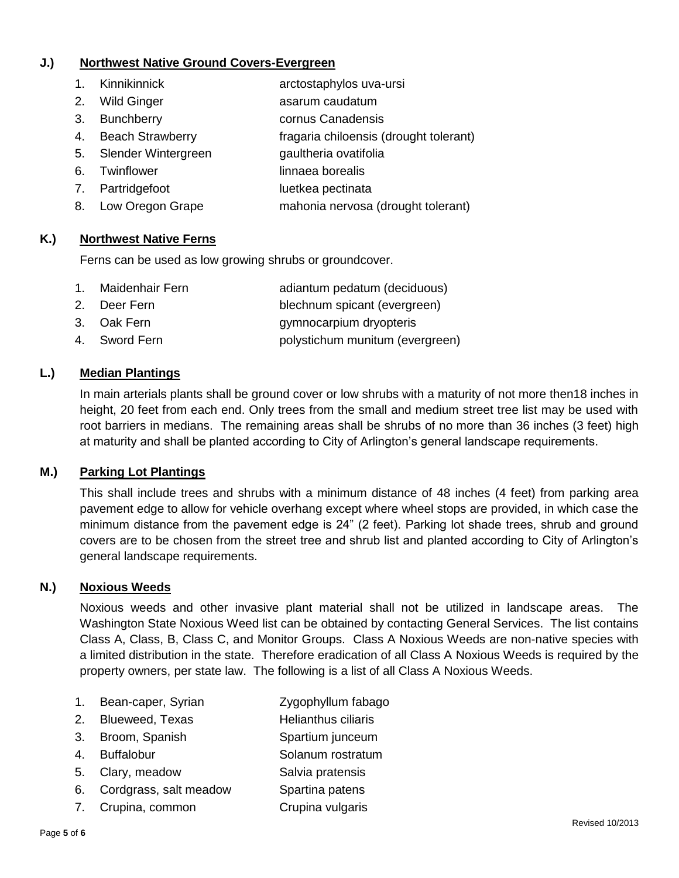## **J.) Northwest Native Ground Covers-Evergreen**

- 1. Kinnikinnick arctostaphylos uva-ursi
- 2. Wild Ginger asarum caudatum
- 3. Bunchberry **cornus Canadensis**
- 4. Beach Strawberry fragaria chiloensis (drought tolerant)
- 5. Slender Wintergreen gaultheria ovatifolia
- 6. Twinflower linnaea borealis
- 7. Partridgefoot luetkea pectinata
- 8. Low Oregon Grape mahonia nervosa (drought tolerant)

## **K.) Northwest Native Ferns**

Ferns can be used as low growing shrubs or groundcover.

- 1. Maidenhair Fern adiantum pedatum (deciduous)
- 2. Deer Fern blechnum spicant (evergreen)
- 3. Oak Fern gymnocarpium dryopteris
- 4. Sword Fern **polystichum munitum (evergreen)**

## **L.) Median Plantings**

In main arterials plants shall be ground cover or low shrubs with a maturity of not more then18 inches in height, 20 feet from each end. Only trees from the small and medium street tree list may be used with root barriers in medians. The remaining areas shall be shrubs of no more than 36 inches (3 feet) high at maturity and shall be planted according to City of Arlington's general landscape requirements.

#### **M.) Parking Lot Plantings**

This shall include trees and shrubs with a minimum distance of 48 inches (4 feet) from parking area pavement edge to allow for vehicle overhang except where wheel stops are provided, in which case the minimum distance from the pavement edge is 24" (2 feet). Parking lot shade trees, shrub and ground covers are to be chosen from the street tree and shrub list and planted according to City of Arlington's general landscape requirements.

#### **N.) Noxious Weeds**

Noxious weeds and other invasive plant material shall not be utilized in landscape areas. The Washington State Noxious Weed list can be obtained by contacting General Services. The list contains Class A, Class, B, Class C, and Monitor Groups. Class A Noxious Weeds are non-native species with a limited distribution in the state. Therefore eradication of all Class A Noxious Weeds is required by the property owners, per state law. The following is a list of all Class A Noxious Weeds.

- 1. Bean-caper, Syrian Zygophyllum fabago
- 2. Blueweed, Texas **Helianthus ciliaris**
- 3. Broom, Spanish Spartium junceum
- 4. Buffalobur Solanum rostratum
- 5. Clary, meadow Salvia pratensis
- 6. Cordgrass, salt meadow Spartina patens
- 7. Crupina, common Crupina vulgaris